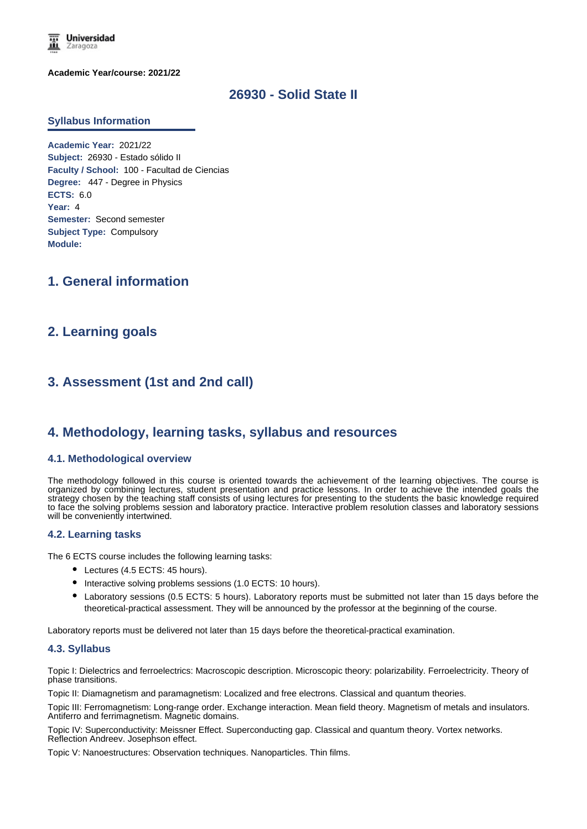

**Academic Year/course: 2021/22**

## **26930 - Solid State II**

#### **Syllabus Information**

**Academic Year:** 2021/22 **Subject:** 26930 - Estado sólido II **Faculty / School:** 100 - Facultad de Ciencias **Degree:** 447 - Degree in Physics **ECTS:** 6.0 **Year:** 4 **Semester:** Second semester **Subject Type:** Compulsory **Module:**

## **1. General information**

## **2. Learning goals**

# **3. Assessment (1st and 2nd call)**

### **4. Methodology, learning tasks, syllabus and resources**

#### **4.1. Methodological overview**

The methodology followed in this course is oriented towards the achievement of the learning objectives. The course is organized by combining lectures, student presentation and practice lessons. In order to achieve the intended goals the strategy chosen by the teaching staff consists of using lectures for presenting to the students the basic knowledge required to face the solving problems session and laboratory practice. Interactive problem resolution classes and laboratory sessions will be conveniently intertwined.

#### **4.2. Learning tasks**

The 6 ECTS course includes the following learning tasks:

- Lectures (4.5 ECTS: 45 hours).
- $\bullet$  Interactive solving problems sessions (1.0 ECTS: 10 hours).
- Laboratory sessions (0.5 ECTS: 5 hours). Laboratory reports must be submitted not later than 15 days before the theoretical-practical assessment. They will be announced by the professor at the beginning of the course.

Laboratory reports must be delivered not later than 15 days before the theoretical-practical examination.

#### **4.3. Syllabus**

Topic I: Dielectrics and ferroelectrics: Macroscopic description. Microscopic theory: polarizability. Ferroelectricity. Theory of phase transitions.

Topic II: Diamagnetism and paramagnetism: Localized and free electrons. Classical and quantum theories.

Topic III: Ferromagnetism: Long-range order. Exchange interaction. Mean field theory. Magnetism of metals and insulators. Antiferro and ferrimagnetism. Magnetic domains.

Topic IV: Superconductivity: Meissner Effect. Superconducting gap. Classical and quantum theory. Vortex networks. Reflection Andreev. Josephson effect.

Topic V: Nanoestructures: Observation techniques. Nanoparticles. Thin films.